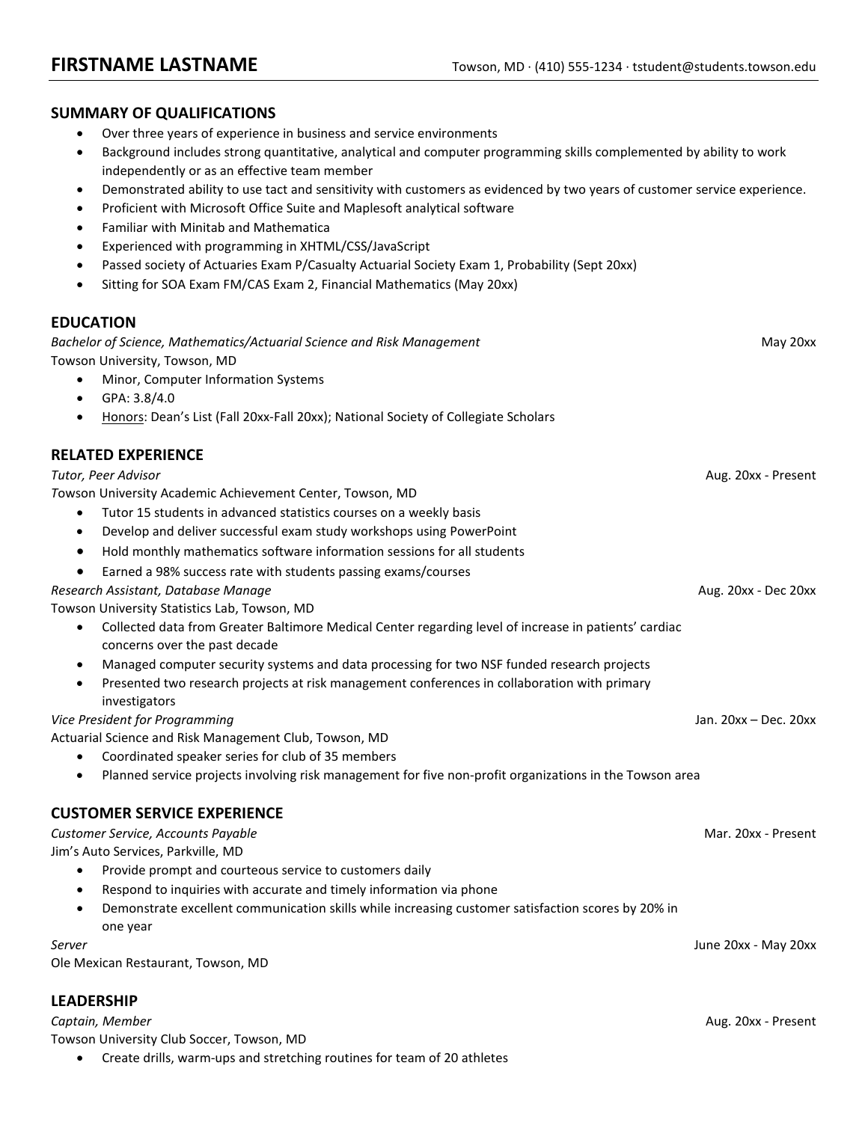## **SUMMARY OF QUALIFICATIONS**

- Over three years of experience in business and service environments
- Background includes strong quantitative, analytical and computer programming skills complemented by ability to work independently or as an effective team member
- Demonstrated ability to use tact and sensitivity with customers as evidenced by two years of customer service experience.
- Proficient with Microsoft Office Suite and Maplesoft analytical software
- Familiar with Minitab and Mathematica
- Experienced with programming in XHTML/CSS/JavaScript
- Passed society of Actuaries Exam P/Casualty Actuarial Society Exam 1, Probability (Sept 20xx)
- Sitting for SOA Exam FM/CAS Exam 2, Financial Mathematics (May 20xx)

### **EDUCATION**

*Bachelor of Science, Mathematics/Actuarial Science and Risk Management* May 20xx Towson University, Towson, MD

- Minor, Computer Information Systems
- GPA: 3.8/4.0
- Honors: Dean's List (Fall 20xx-Fall 20xx); National Society of Collegiate Scholars

## **RELATED EXPERIENCE**

# *Tutor, Peer Advisor* Aug. 20xx - Present *T*owson University Academic Achievement Center, Towson, MD • Tutor 15 students in advanced statistics courses on a weekly basis • Develop and deliver successful exam study workshops using PowerPoint • Hold monthly mathematics software information sessions for all students

• Earned a 98% success rate with students passing exams/courses

#### *Research Assistant, Database Manage* Aug. 20xx - Dec 20xx

Towson University Statistics Lab, Towson, MD

- Collected data from Greater Baltimore Medical Center regarding level of increase in patients' cardiac concerns over the past decade
- Managed computer security systems and data processing for two NSF funded research projects
- Presented two research projects at risk management conferences in collaboration with primary investigators

#### *Vice President for Programming* Jan. 20xx – Dec. 20xx

Actuarial Science and Risk Management Club, Towson, MD

- Coordinated speaker series for club of 35 members
- Planned service projects involving risk management for five non-profit organizations in the Towson area

## **CUSTOMER SERVICE EXPERIENCE**

*Customer Service, Accounts Payable* Mar. 20xx - Present

Jim's Auto Services, Parkville, MD

- Provide prompt and courteous service to customers daily
- Respond to inquiries with accurate and timely information via phone
- Demonstrate excellent communication skills while increasing customer satisfaction scores by 20% in one year

Ole Mexican Restaurant, Towson, MD

## **LEADERSHIP**

*Captain, Member* Aug. 20xx - Present Towson University Club Soccer, Towson, MD

• Create drills, warm-ups and stretching routines for team of 20 athletes

*Server* June 20xx - May 20xx